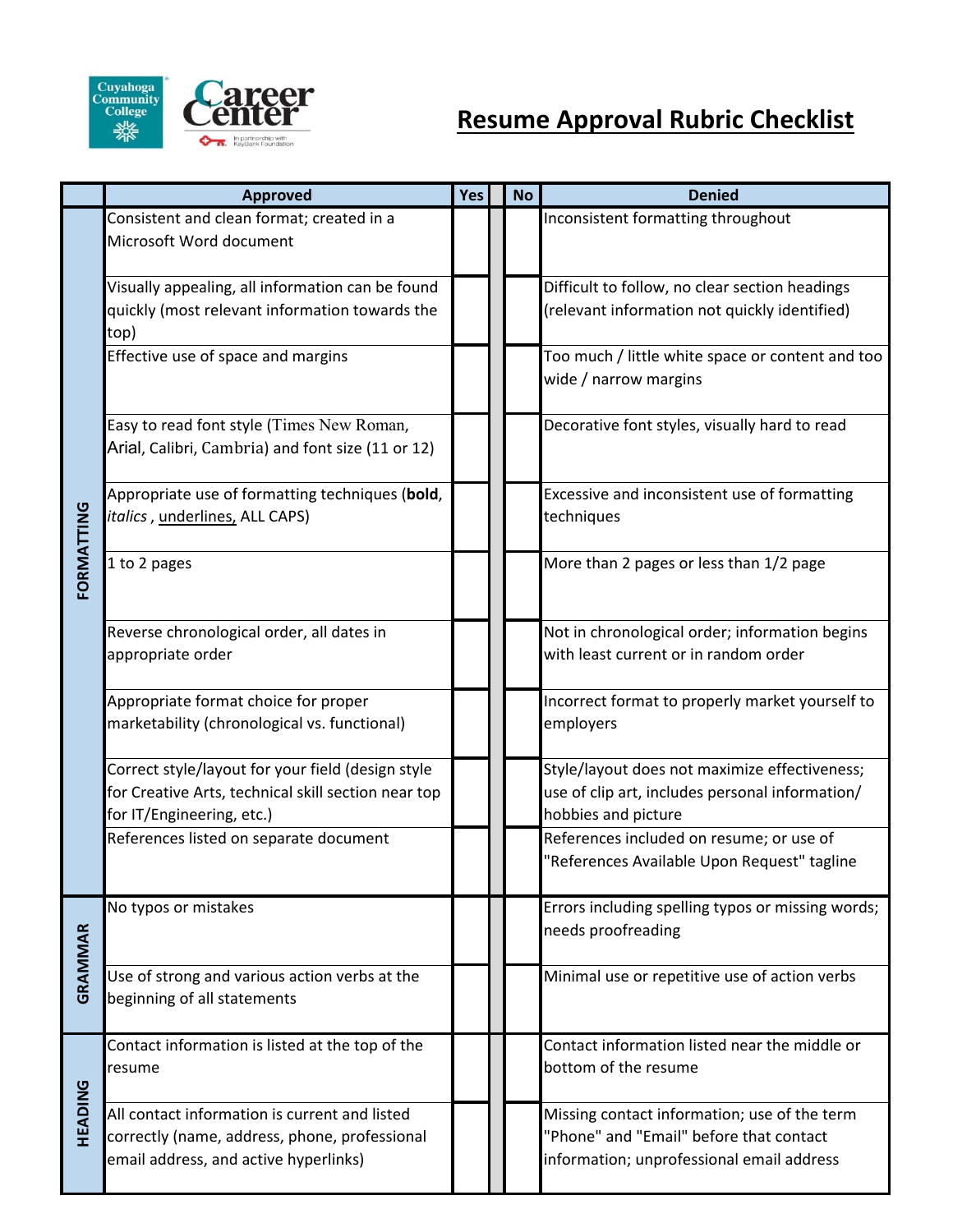

|            | <b>Approved</b>                                     | Yes | <b>No</b> | <b>Denied</b>                                     |
|------------|-----------------------------------------------------|-----|-----------|---------------------------------------------------|
|            | Consistent and clean format; created in a           |     |           | Inconsistent formatting throughout                |
|            | Microsoft Word document                             |     |           |                                                   |
|            |                                                     |     |           |                                                   |
|            | Visually appealing, all information can be found    |     |           | Difficult to follow, no clear section headings    |
|            | quickly (most relevant information towards the      |     |           | (relevant information not quickly identified)     |
|            | top)                                                |     |           |                                                   |
|            | Effective use of space and margins                  |     |           | Too much / little white space or content and too  |
|            |                                                     |     |           | wide / narrow margins                             |
|            |                                                     |     |           |                                                   |
|            | Easy to read font style (Times New Roman,           |     |           | Decorative font styles, visually hard to read     |
|            | Arial, Calibri, Cambria) and font size (11 or 12)   |     |           |                                                   |
|            | Appropriate use of formatting techniques (bold,     |     |           | Excessive and inconsistent use of formatting      |
|            | <i>italics</i> , underlines, ALL CAPS)              |     |           | techniques                                        |
| FORMATTING |                                                     |     |           |                                                   |
|            | 1 to 2 pages                                        |     |           | More than 2 pages or less than 1/2 page           |
|            |                                                     |     |           |                                                   |
|            |                                                     |     |           |                                                   |
|            | Reverse chronological order, all dates in           |     |           | Not in chronological order; information begins    |
|            | appropriate order                                   |     |           | with least current or in random order             |
|            |                                                     |     |           |                                                   |
|            | Appropriate format choice for proper                |     |           | Incorrect format to properly market yourself to   |
|            | marketability (chronological vs. functional)        |     |           | employers                                         |
|            | Correct style/layout for your field (design style   |     |           | Style/layout does not maximize effectiveness;     |
|            | for Creative Arts, technical skill section near top |     |           | use of clip art, includes personal information/   |
|            | for IT/Engineering, etc.)                           |     |           | hobbies and picture                               |
|            | References listed on separate document              |     |           | References included on resume; or use of          |
|            |                                                     |     |           | "References Available Upon Request" tagline       |
|            |                                                     |     |           |                                                   |
|            | No typos or mistakes                                |     |           | Errors including spelling typos or missing words; |
|            |                                                     |     |           | needs proofreading                                |
| GRAMMAR    |                                                     |     |           |                                                   |
|            | Use of strong and various action verbs at the       |     |           | Minimal use or repetitive use of action verbs     |
|            | beginning of all statements                         |     |           |                                                   |
| HEADING    | Contact information is listed at the top of the     |     |           | Contact information listed near the middle or     |
|            | resume                                              |     |           | bottom of the resume                              |
|            |                                                     |     |           |                                                   |
|            | All contact information is current and listed       |     |           | Missing contact information; use of the term      |
|            | correctly (name, address, phone, professional       |     |           | "Phone" and "Email" before that contact           |
|            | email address, and active hyperlinks)               |     |           | information; unprofessional email address         |
|            |                                                     |     |           |                                                   |